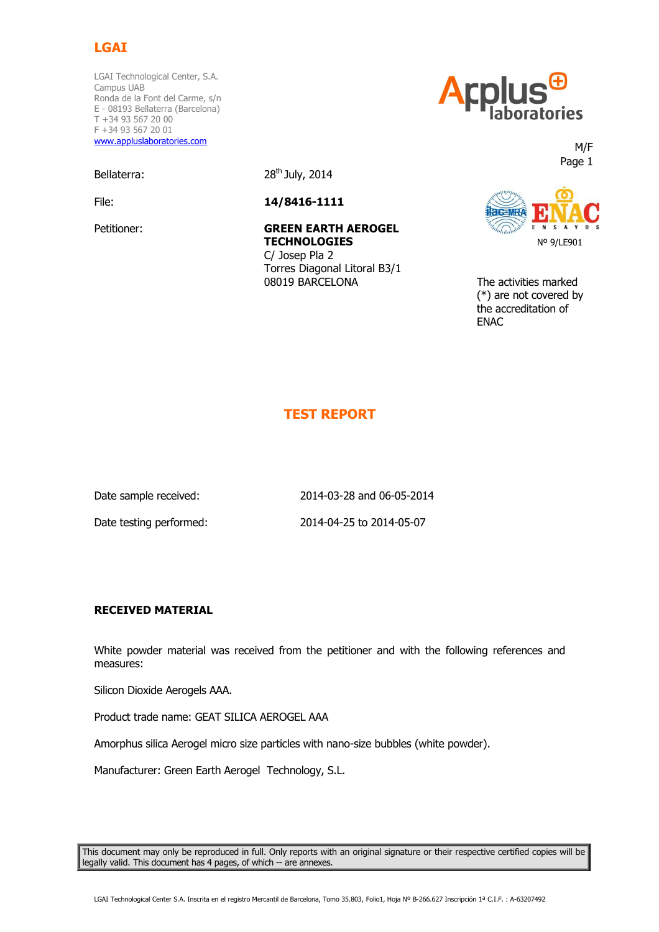

LGAI Technological Center, S.A. Campus UAB Ronda de la Font del Carme, s/n E - 08193 Bellaterra (Barcelona) T +34 93 567 20 00 F +34 93 567 20 01 www.appluslaboratories.com

Bellaterra: 28<sup>th</sup> July, 2014

File: **14/8416-1111** 

Petitioner: **GREEN EARTH AEROGEL TECHNOLOGIES**  C/ Josep Pla 2 Torres Diagonal Litoral B3/1



<u>www.applesiaboratories.com</u>  $\blacksquare$  Page 1  $\blacksquare$ 



 08019 BARCELONA The activities marked (\*) are not covered by the accreditation of **ENAC** 

# **TEST REPORT**

Date sample received: 2014-03-28 and 06-05-2014 Date testing performed: 2014-04-25 to 2014-05-07

#### **RECEIVED MATERIAL**

White powder material was received from the petitioner and with the following references and measures:

Silicon Dioxide Aerogels AAA.

Product trade name: GEAT SILICA AEROGEL AAA

Amorphus silica Aerogel micro size particles with nano-size bubbles (white powder).

Manufacturer: Green Earth Aerogel Technology, S.L.

This document may only be reproduced in full. Only reports with an original signature or their respective certified copies will be legally valid. This document has 4 pages, of which -- are annexes.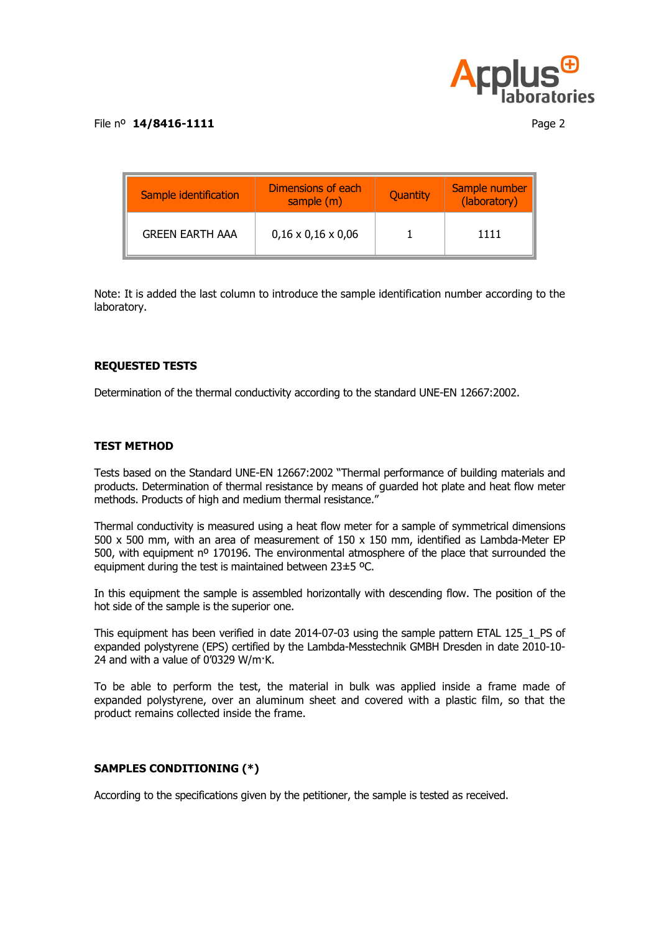

| Sample identification  | Dimensions of each<br>sample (m) | Quantity | Sample number<br>(laboratory) |
|------------------------|----------------------------------|----------|-------------------------------|
| <b>GREEN EARTH AAA</b> | $0,16 \times 0,16 \times 0,06$   |          | 1111                          |

Note: It is added the last column to introduce the sample identification number according to the laboratory.

## **REQUESTED TESTS**

Determination of the thermal conductivity according to the standard UNE-EN 12667:2002.

#### **TEST METHOD**

Tests based on the Standard UNE-EN 12667:2002 "Thermal performance of building materials and products. Determination of thermal resistance by means of guarded hot plate and heat flow meter methods. Products of high and medium thermal resistance."

Thermal conductivity is measured using a heat flow meter for a sample of symmetrical dimensions 500 x 500 mm, with an area of measurement of 150 x 150 mm, identified as Lambda-Meter EP 500, with equipment nº 170196. The environmental atmosphere of the place that surrounded the equipment during the test is maintained between 23±5 ºC.

In this equipment the sample is assembled horizontally with descending flow. The position of the hot side of the sample is the superior one.

This equipment has been verified in date 2014-07-03 using the sample pattern ETAL 125\_1\_PS of expanded polystyrene (EPS) certified by the Lambda-Messtechnik GMBH Dresden in date 2010-10- 24 and with a value of 0'0329 W/m·K.

To be able to perform the test, the material in bulk was applied inside a frame made of expanded polystyrene, over an aluminum sheet and covered with a plastic film, so that the product remains collected inside the frame.

#### **SAMPLES CONDITIONING (\*)**

According to the specifications given by the petitioner, the sample is tested as received.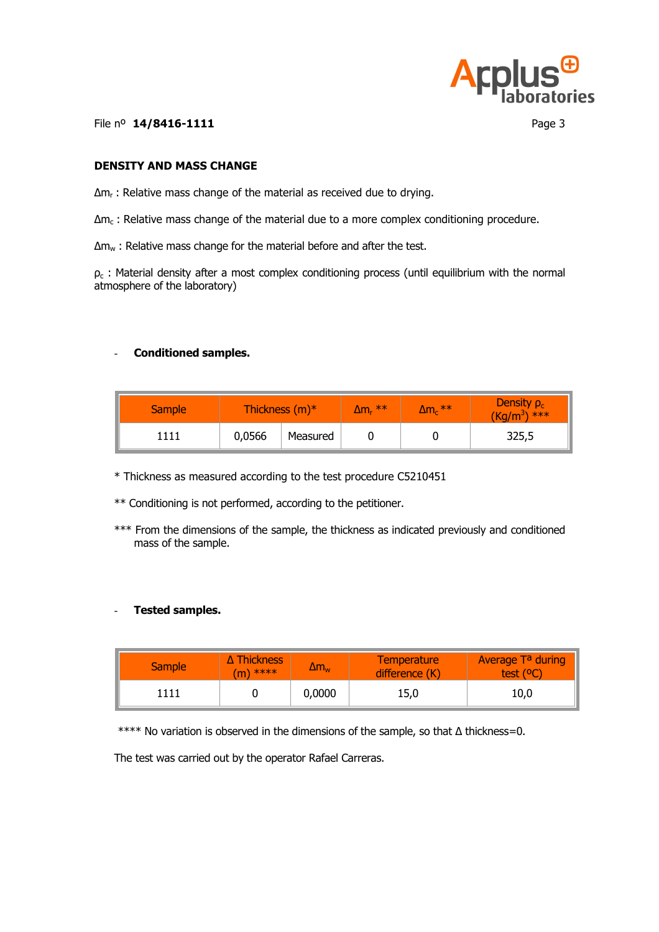

File nº **14/8416-1111** Page 3

## **DENSITY AND MASS CHANGE**

∆m<sub>r</sub> : Relative mass change of the material as received due to drying.

 $\Delta$ m<sub>c</sub> : Relative mass change of the material due to a more complex conditioning procedure.

∆mw : Relative mass change for the material before and after the test.

 $\rho_c$  : Material density after a most complex conditioning process (until equilibrium with the normal atmosphere of the laboratory)

### - **Conditioned samples.**

| <b>Sample</b> | Thickness $(m)^*$ |          | $\Delta m_r$ ** | $\Delta m_c$ ** | Density $\rho_c$<br>$(Kq/m^3)$ <sup>***</sup> |
|---------------|-------------------|----------|-----------------|-----------------|-----------------------------------------------|
|               | 0,0566            | Measured |                 |                 | 325,5                                         |

\* Thickness as measured according to the test procedure C5210451

\*\* Conditioning is not performed, according to the petitioner.

\*\*\* From the dimensions of the sample, the thickness as indicated previously and conditioned mass of the sample.

#### - **Tested samples.**

| Sample <sup>1</sup> | $\Delta$ Thickness<br>$(m)$ **** | $\Delta m_{\rm w}$ | <b>Temperature</b><br>difference (K) | <b>Average Ta during</b><br>test $(°C)$ |
|---------------------|----------------------------------|--------------------|--------------------------------------|-----------------------------------------|
| 1111                |                                  | 0,0000             | 15,0                                 | 10,0                                    |

\*\*\*\* No variation is observed in the dimensions of the sample, so that ∆ thickness=0.

The test was carried out by the operator Rafael Carreras.